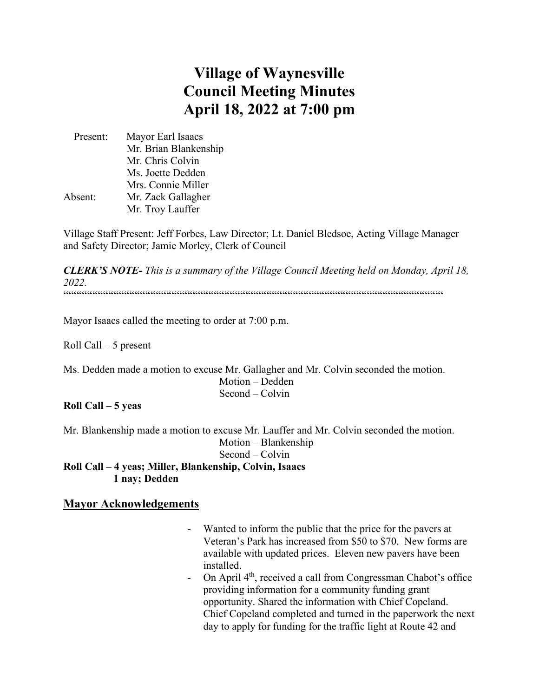# **Village of Waynesville Council Meeting Minutes April 18, 2022 at 7:00 pm**

 Present: Mayor Earl Isaacs Mr. Brian Blankenship Mr. Chris Colvin Ms. Joette Dedden Mrs. Connie Miller Absent: Mr. Zack Gallagher Mr. Troy Lauffer

Village Staff Present: Jeff Forbes, Law Director; Lt. Daniel Bledsoe, Acting Village Manager and Safety Director; Jamie Morley, Clerk of Council

*CLERK'S NOTE- This is a summary of the Village Council Meeting held on Monday, April 18, 2022.*   $\label{prop:main} \hspace{1.5cm} \hspace{1.5cm} ... \hspace{1.5cm} ... \hspace{1.5cm} ... \hspace{1.5cm} ... \hspace{1.5cm} ... \hspace{1.5cm} ... \hspace{1.5cm} ... \hspace{1.5cm} ... \hspace{1.5cm} ... \hspace{1.5cm} ... \hspace{1.5cm} ... \hspace{1.5cm} ... \hspace{1.5cm} ... \hspace{1.5cm} ... \hspace{1.5cm} ... \hspace{1.5cm} ... \hspace{1.5cm} ... \hspace{1.5cm} ... \hspace{1.5cm} ... \hspace{1.5cm} ... \hspace{$ 

Mayor Isaacs called the meeting to order at 7:00 p.m.

Roll Call – 5 present

Ms. Dedden made a motion to excuse Mr. Gallagher and Mr. Colvin seconded the motion. Motion – Dedden Second – Colvin

**Roll Call – 5 yeas**

Mr. Blankenship made a motion to excuse Mr. Lauffer and Mr. Colvin seconded the motion. Motion – Blankenship Second – Colvin **Roll Call – 4 yeas; Miller, Blankenship, Colvin, Isaacs 1 nay; Dedden**

## **Mayor Acknowledgements**

- Wanted to inform the public that the price for the pavers at Veteran's Park has increased from \$50 to \$70. New forms are available with updated prices. Eleven new pavers have been installed.
- On April  $4<sup>th</sup>$ , received a call from Congressman Chabot's office providing information for a community funding grant opportunity. Shared the information with Chief Copeland. Chief Copeland completed and turned in the paperwork the next day to apply for funding for the traffic light at Route 42 and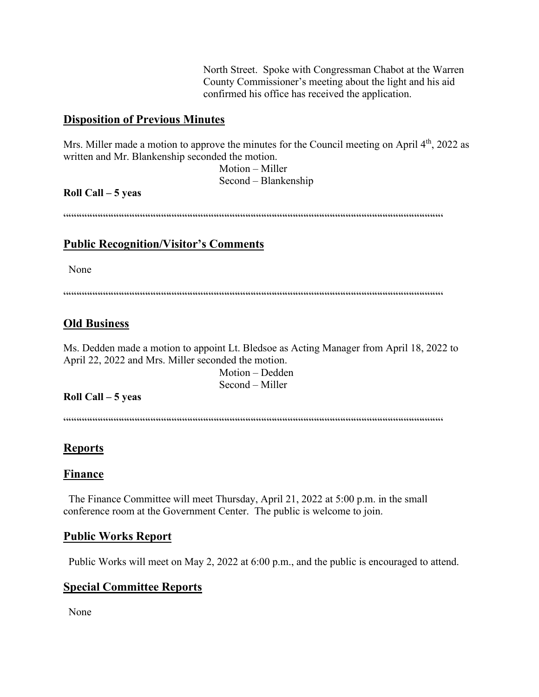North Street. Spoke with Congressman Chabot at the Warren County Commissioner's meeting about the light and his aid confirmed his office has received the application.

# **Disposition of Previous Minutes**

Mrs. Miller made a motion to approve the minutes for the Council meeting on April  $4<sup>th</sup>$ , 2022 as written and Mr. Blankenship seconded the motion.

> Motion – Miller Second – Blankenship

## **Roll Call – 5 yeas**

 $\label{prop:main}$ 

# **Public Recognition/Visitor's Comments**

None

 $\label{prop:main} \hspace{15pt} \hspace{15pt} \textbf{if} \hspace{10pt} \begin{minipage}{0.9\textwidth} \centering \begin{minipage}{0.9\textwidth} \centering \centering \end{minipage} \hspace{10pt} \textbf{if} \hspace{10pt} \begin{minipage}{0.9\textwidth} \centering \centering \end{minipage} \hspace{10pt} \textbf{if} \hspace{10pt} \begin{minipage}{0.9\textwidth} \centering \centering \end{minipage} \hspace{10pt} \textbf{if} \hspace{10pt} \begin{minipage}{0.9\textwidth} \centering \center$ 

# **Old Business**

Ms. Dedden made a motion to appoint Lt. Bledsoe as Acting Manager from April 18, 2022 to April 22, 2022 and Mrs. Miller seconded the motion.

 Motion – Dedden Second – Miller

## **Roll Call – 5 yeas**

 $\label{prop:main} \hspace{15pt} \hspace{15pt} \textbf{if} \hspace{10pt} \begin{minipage}{0.9\textwidth} \centering \begin{minipage}{0.9\textwidth} \centering \centering \end{minipage} \hspace{10pt} \textbf{if} \hspace{10pt} \begin{minipage}{0.9\textwidth} \centering \centering \end{minipage} \hspace{10pt} \textbf{if} \hspace{10pt} \begin{minipage}{0.9\textwidth} \centering \centering \end{minipage} \hspace{10pt} \textbf{if} \hspace{10pt} \begin{minipage}{0.9\textwidth} \centering \center$ 

# **Reports**

## **Finance**

 The Finance Committee will meet Thursday, April 21, 2022 at 5:00 p.m. in the small conference room at the Government Center. The public is welcome to join.

## **Public Works Report**

Public Works will meet on May 2, 2022 at 6:00 p.m., and the public is encouraged to attend.

# **Special Committee Reports**

None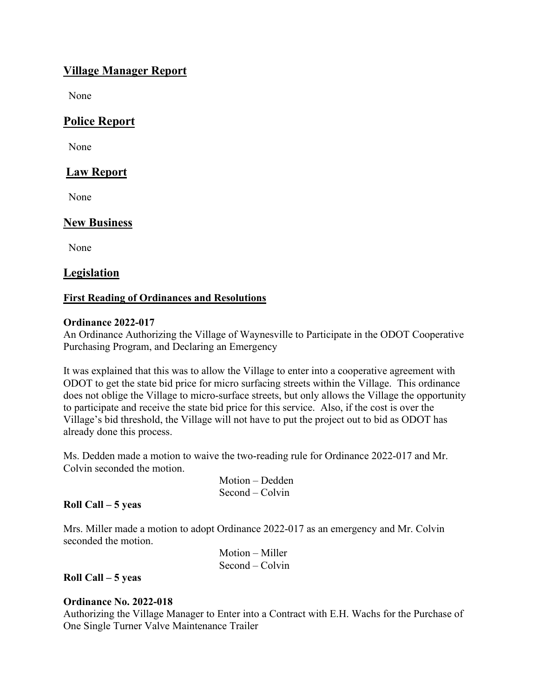# **Village Manager Report**

None

# **Police Report**

None

## **Law Report**

None

## **New Business**

None

## **Legislation**

## **First Reading of Ordinances and Resolutions**

#### **Ordinance 2022-017**

An Ordinance Authorizing the Village of Waynesville to Participate in the ODOT Cooperative Purchasing Program, and Declaring an Emergency

It was explained that this was to allow the Village to enter into a cooperative agreement with ODOT to get the state bid price for micro surfacing streets within the Village. This ordinance does not oblige the Village to micro-surface streets, but only allows the Village the opportunity to participate and receive the state bid price for this service. Also, if the cost is over the Village's bid threshold, the Village will not have to put the project out to bid as ODOT has already done this process.

Ms. Dedden made a motion to waive the two-reading rule for Ordinance 2022-017 and Mr. Colvin seconded the motion.

> Motion – Dedden Second – Colvin

## **Roll Call – 5 yeas**

Mrs. Miller made a motion to adopt Ordinance 2022-017 as an emergency and Mr. Colvin seconded the motion.

| $Motion - Miller$ |
|-------------------|
| $Second - Colvin$ |

**Roll Call – 5 yeas**

## **Ordinance No. 2022-018**

Authorizing the Village Manager to Enter into a Contract with E.H. Wachs for the Purchase of One Single Turner Valve Maintenance Trailer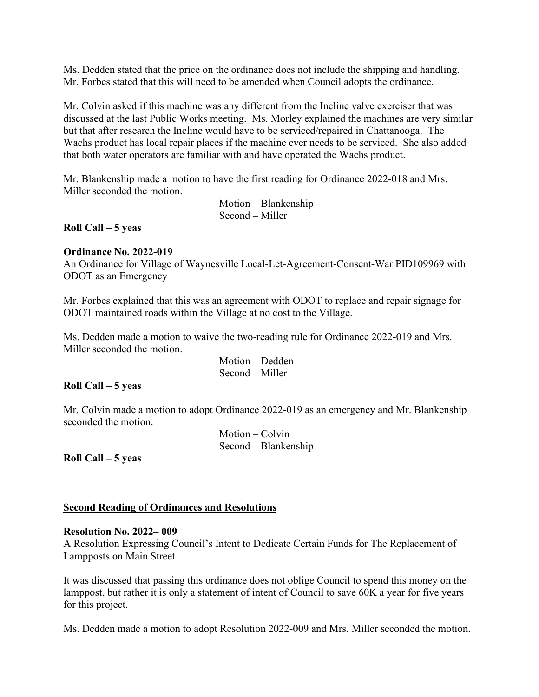Ms. Dedden stated that the price on the ordinance does not include the shipping and handling. Mr. Forbes stated that this will need to be amended when Council adopts the ordinance.

Mr. Colvin asked if this machine was any different from the Incline valve exerciser that was discussed at the last Public Works meeting. Ms. Morley explained the machines are very similar but that after research the Incline would have to be serviced/repaired in Chattanooga. The Wachs product has local repair places if the machine ever needs to be serviced. She also added that both water operators are familiar with and have operated the Wachs product.

Mr. Blankenship made a motion to have the first reading for Ordinance 2022-018 and Mrs. Miller seconded the motion.

> Motion – Blankenship Second – Miller

**Roll Call – 5 yeas**

#### **Ordinance No. 2022-019**

An Ordinance for Village of Waynesville Local-Let-Agreement-Consent-War PID109969 with ODOT as an Emergency

Mr. Forbes explained that this was an agreement with ODOT to replace and repair signage for ODOT maintained roads within the Village at no cost to the Village.

Ms. Dedden made a motion to waive the two-reading rule for Ordinance 2022-019 and Mrs. Miller seconded the motion.

> Motion – Dedden Second – Miller

## **Roll Call – 5 yeas**

Mr. Colvin made a motion to adopt Ordinance 2022-019 as an emergency and Mr. Blankenship seconded the motion.

> Motion – Colvin Second – Blankenship

**Roll Call – 5 yeas** 

## **Second Reading of Ordinances and Resolutions**

#### **Resolution No. 2022– 009**

A Resolution Expressing Council's Intent to Dedicate Certain Funds for The Replacement of Lampposts on Main Street

It was discussed that passing this ordinance does not oblige Council to spend this money on the lamppost, but rather it is only a statement of intent of Council to save 60K a year for five years for this project.

Ms. Dedden made a motion to adopt Resolution 2022-009 and Mrs. Miller seconded the motion.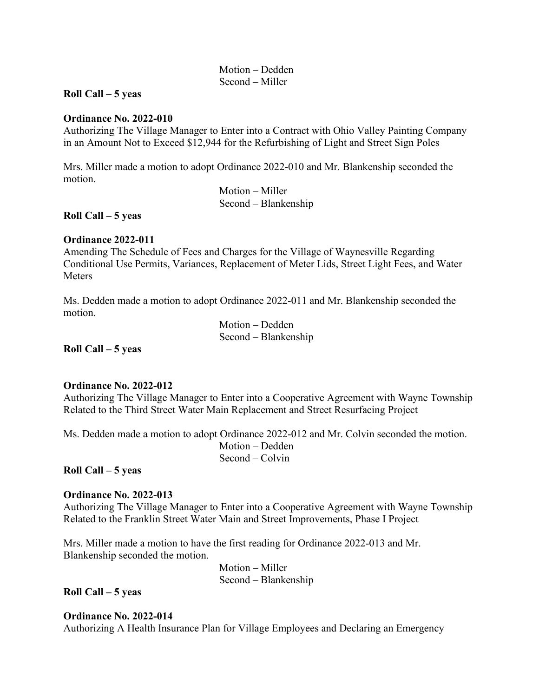Motion – Dedden Second – Miller

#### **Roll Call – 5 yeas**

#### **Ordinance No. 2022-010**

Authorizing The Village Manager to Enter into a Contract with Ohio Valley Painting Company in an Amount Not to Exceed \$12,944 for the Refurbishing of Light and Street Sign Poles

Mrs. Miller made a motion to adopt Ordinance 2022-010 and Mr. Blankenship seconded the motion.

> Motion – Miller Second – Blankenship

#### **Roll Call – 5 yeas**

#### **Ordinance 2022-011**

Amending The Schedule of Fees and Charges for the Village of Waynesville Regarding Conditional Use Permits, Variances, Replacement of Meter Lids, Street Light Fees, and Water Meters

Ms. Dedden made a motion to adopt Ordinance 2022-011 and Mr. Blankenship seconded the motion.

> Motion – Dedden Second – Blankenship

**Roll Call – 5 yeas** 

#### **Ordinance No. 2022-012**

Authorizing The Village Manager to Enter into a Cooperative Agreement with Wayne Township Related to the Third Street Water Main Replacement and Street Resurfacing Project

Ms. Dedden made a motion to adopt Ordinance 2022-012 and Mr. Colvin seconded the motion. Motion – Dedden Second – Colvin

**Roll Call – 5 yeas** 

#### **Ordinance No. 2022-013**

Authorizing The Village Manager to Enter into a Cooperative Agreement with Wayne Township Related to the Franklin Street Water Main and Street Improvements, Phase I Project

Mrs. Miller made a motion to have the first reading for Ordinance 2022-013 and Mr. Blankenship seconded the motion.

> Motion – Miller Second – Blankenship

**Roll Call – 5 yeas** 

#### **Ordinance No. 2022-014**

Authorizing A Health Insurance Plan for Village Employees and Declaring an Emergency